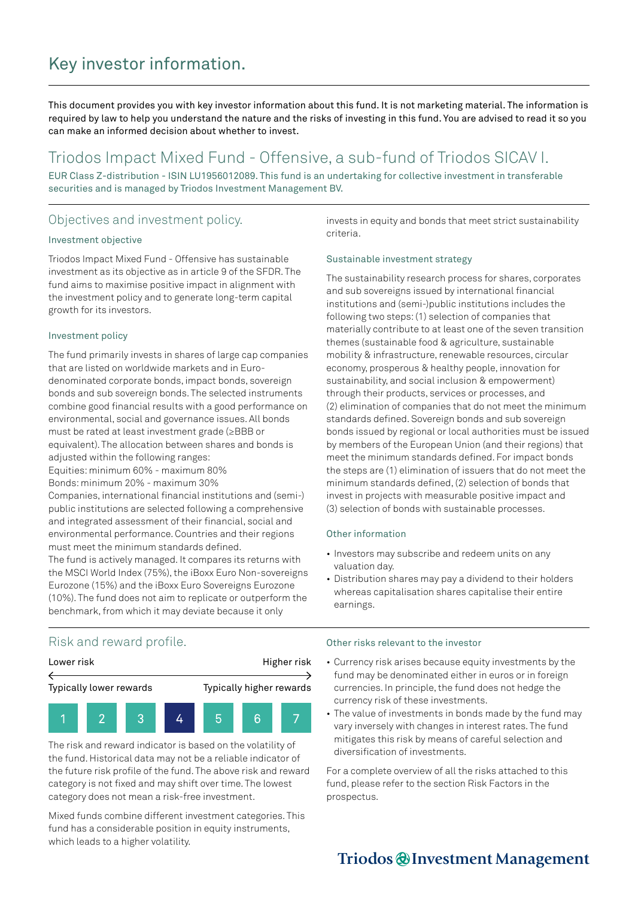# Key investor information.

This document provides you with key investor information about this fund. It is not marketing material. The information is required by law to help you understand the nature and the risks of investing in this fund. You are advised to read it so you can make an informed decision about whether to invest.

## Triodos Impact Mixed Fund - Offensive, a sub-fund of Triodos SICAV I.

EUR Class Z-distribution - ISIN LU1956012089. This fund is an undertaking for collective investment in transferable securities and is managed by Triodos Investment Management BV.

### Objectives and investment policy.

#### Investment objective

Triodos Impact Mixed Fund - Offensive has sustainable investment as its objective as in article 9 of the SFDR. The fund aims to maximise positive impact in alignment with the investment policy and to generate long-term capital growth for its investors.

#### Investment policy

The fund primarily invests in shares of large cap companies that are listed on worldwide markets and in Eurodenominated corporate bonds, impact bonds, sovereign bonds and sub sovereign bonds. The selected instruments combine good financial results with a good performance on environmental, social and governance issues. All bonds must be rated at least investment grade (≥BBB or equivalent). The allocation between shares and bonds is adjusted within the following ranges:

Equities: minimum 60% - maximum 80% Bonds: minimum 20% - maximum 30%

Companies, international financial institutions and (semi-) public institutions are selected following a comprehensive and integrated assessment of their financial, social and environmental performance. Countries and their regions must meet the minimum standards defined. The fund is actively managed. It compares its returns with the MSCI World Index (75%), the iBoxx Euro Non-sovereigns

Eurozone (15%) and the iBoxx Euro Sovereigns Eurozone (10%). The fund does not aim to replicate or outperform the benchmark, from which it may deviate because it only

invests in equity and bonds that meet strict sustainability criteria.

#### Sustainable investment strategy

The sustainability research process for shares, corporates and sub sovereigns issued by international financial institutions and (semi-)public institutions includes the following two steps: (1) selection of companies that materially contribute to at least one of the seven transition themes (sustainable food & agriculture, sustainable mobility & infrastructure, renewable resources, circular economy, prosperous & healthy people, innovation for sustainability, and social inclusion & empowerment) through their products, services or processes, and (2) elimination of companies that do not meet the minimum standards defined. Sovereign bonds and sub sovereign bonds issued by regional or local authorities must be issued by members of the European Union (and their regions) that meet the minimum standards defined. For impact bonds the steps are (1) elimination of issuers that do not meet the minimum standards defined, (2) selection of bonds that invest in projects with measurable positive impact and (3) selection of bonds with sustainable processes.

#### Other information

- Investors may subscribe and redeem units on any valuation day.
- Distribution shares may pay a dividend to their holders whereas capitalisation shares capitalise their entire earnings.

### Risk and reward profile.



The risk and reward indicator is based on the volatility of the fund. Historical data may not be a reliable indicator of the future risk profile of the fund. The above risk and reward category is not fixed and may shift over time. The lowest category does not mean a risk-free investment.

Mixed funds combine different investment categories. This fund has a considerable position in equity instruments, which leads to a higher volatility.

#### Other risks relevant to the investor

- Currency risk arises because equity investments by the fund may be denominated either in euros or in foreign currencies. In principle, the fund does not hedge the currency risk of these investments.
- The value of investments in bonds made by the fund may vary inversely with changes in interest rates. The fund mitigates this risk by means of careful selection and diversification of investments.

For a complete overview of all the risks attached to this fund, please refer to the section Risk Factors in the prospectus.

## Triodos @Investment Management